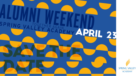